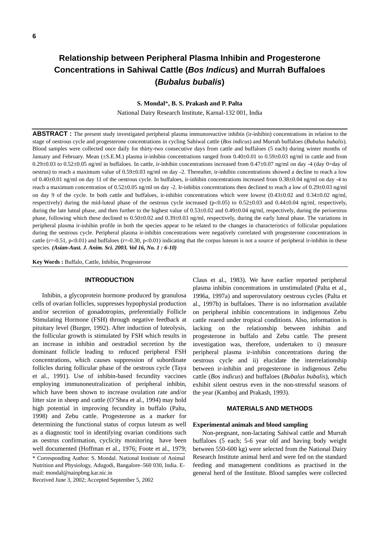# **Relationship between Peripheral Plasma Inhibin and Progesterone Concentrations in Sahiwal Cattle (***Bos Indicus***) and Murrah Buffaloes (***Bubalus bubalis***)**

# **S. Mondal**\***, B. S. Prakash and P. Palta**

National Dairy Research Institute, Karnal-132 001, India

**ABSTRACT**: The present study investigated peripheral plasma immunoreactive inhibin (ir-inhibin) concentrations in relation to the stage of oestrous cycle and progesterone concentrations in cycling Sahiwal cattle (*Bos indicus*) and Murrah buffaloes (*Bubalus bubalis*). Blood samples were collected once daily for thirty-two consecutive days from cattle and buffaloes (5 each) during winter months of January and February. Mean (±S.E.M.) plasma ir-inhibin concentrations ranged from 0.40±0.01 to 0.59±0.03 ng/ml in cattle and from 0.29 $\pm$ 0.03 to 0.52 $\pm$ 0.05 ng/ml in buffaloes. In cattle, ir-inhibin concentrations increased from 0.47 $\pm$ 0.07 ng/ml on day -4 (day 0 $=$ day of oestrus) to reach a maximum value of 0.59±0.03 ng/ml on day -2. Thereafter, ir-inhibin concentrations showed a decline to reach a low of 0.40±0.01 ng/ml on day 11 of the oestrous cycle. In buffaloes, ir-inhibin concentrations increased from 0.38±0.04 ng/ml on day -4 to reach a maximum concentration of 0.52±0.05 ng/ml on day -2. Ir-inhibin concentrations then declined to reach a low of 0.29±0.03 ng/ml on day 9 of the cycle. In both cattle and buffaloes, ir-inhibin concentrations which were lowest (0.43±0.02 and 0.34±0.02 ng/ml, respectively) during the mid-luteal phase of the oestrous cycle increased ( $p<0.05$ ) to 0.52±0.03 and 0.44±0.04 ng/ml, respectively, during the late luteal phase, and then further to the highest value of 0.53±0.02 and 0.49±0.04 ng/ml, respectively, during the perioestrus phase, following which these declined to 0.50±0.02 and 0.39±0.03 ng/ml, respectively, during the early luteal phase. The variations in peripheral plasma ir-inhibin profile in both the species appear to be related to the changes in characteristics of follicular populations during the oestrous cycle. Peripheral plasma ir-inhibin concentrations were negatively correlated with progesterone concentrations in cattle (r=-0.51, p<0.01) and buffaloes (r=-0.30, p<0.01) indicating that the corpus luteum is not a source of peripheral ir-inhibin in these species. *(Asian-Aust. J. Anim. Sci. 2003. Vol 16, No. 1 : 6-10)*

**Key Words :** Buffalo, Cattle, Inhibin, Progesterone

#### **INTRODUCTION**

Inhibin, a glycoprotein hormone produced by granulosa cells of ovarian follicles, suppresses hypophysial production and/or secretion of gonadotropins, preferentially Follicle Stimulating Hormone (FSH) through negative feedback at pituitary level (Burger, 1992). After induction of luteolysis, the follicular growth is stimulated by FSH which results in an increase in inhibin and oestradiol secretion by the dominant follicle leading to reduced peripheral FSH concentrations, which causes suppression of subordinate follicles during follicular phase of the oestrous cycle (Taya et al., 1991). Use of inhibin-based fecundity vaccines employing immunoneutralization of peripheral inhibin, which have been shown to increase ovulation rate and/or litter size in sheep and cattle (O'Shea et al., 1994) may hold high potential in improving fecundity in buffalo (Palta, 1998) and Zebu cattle. Progesterone as a marker for determining the functional status of corpus luteum as well as a diagnostic tool in identifying ovarian conditions such as oestrus confirmation, cyclicity monitoring have been well documented (Hoffman et al., 1976; Foote et al., 1979;

\* Corresponding Author: S. Mondal. National Institute of Animal Nutrition and Physiology, Adugodi, Bangalore–560 030, India. Email: mondal@nainpbng.kar.nic.in

Received June 3, 2002; Accepted September 5, 2002

Claus et al., 1983). We have earlier reported peripheral plasma inhibin concentrations in unstimulated (Palta et al., 1996a, 1997a) and superovulatory oestrous cycles (Palta et al., 1997b) in buffaloes. There is no information available on peripheral inhibin concentrations in indigenous Zebu cattle reared under tropical conditions. Also, information is lacking on the relationship between inhibin and progesterone in buffalo and Zebu cattle. The present investigation was, therefore, undertaken to i) measure peripheral plasma ir-inhibin concentrations during the oestrous cycle and ii) elucidate the interrelationship between ir-inhibin and progesterone in indigenous Zebu cattle (*Bos indicus*) and buffaloes (*Bubalus bubalis*), which exhibit silent oestrus even in the non-stressful seasons of the year (Kamboj and Prakash, 1993).

# **MATERIALS AND METHODS**

## **Experimental animals and blood sampling**

Non-pregnant, non-lactating Sahiwal cattle and Murrah buffaloes (5 each; 5-6 year old and having body weight between 550-600 kg) were selected from the National Dairy Research Institute animal herd and were fed on the standard feeding and management conditions as practised in the general herd of the Institute. Blood samples were collected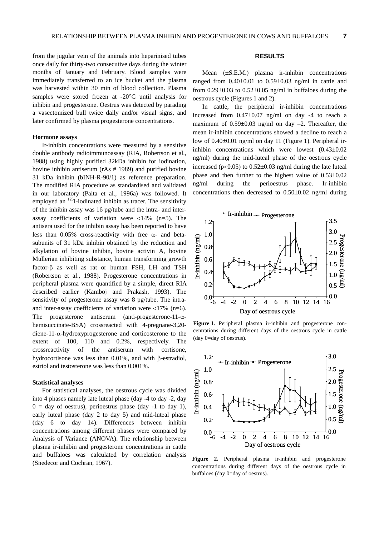from the jugular vein of the animals into heparinised tubes once daily for thirty-two consecutive days during the winter months of January and February. Blood samples were immediately transferred to an ice bucket and the plasma was harvested within 30 min of blood collection. Plasma samples were stored frozen at -20°C until analysis for inhibin and progesterone. Oestrus was detected by parading a vasectomized bull twice daily and/or visual signs, and later confirmed by plasma progesterone concentrations.

# **Hormone assays**

Ir-inhibin concentrations were measured by a sensitive double antibody radioimmunoassay (RIA, Robertson et al., 1988) using highly purified 32kDa inhibin for iodination, bovine inhibin antiserum (rAs # 1989) and purified bovine 31 kDa inhibin (bINH-R-90/1) as reference preparation. The modified RIA procedure as standardised and validated in our laboratory (Palta et al., 1996a) was followed. It employed an  $^{125}$ I-iodinated inhibin as tracer. The sensitivity of the inhibin assay was 16 pg/tube and the intra- and interassay coefficients of variation were  $\langle 14\% \rangle$  (n=5). The antisera used for the inhibin assay has been reported to have less than 0.05% cross-reactivity with free  $\alpha$ - and betasubunits of 31 kDa inhibin obtained by the reduction and alkylation of bovine inhibin, bovine activin A, bovine Mullerian inhibiting substance, human transforming growth factor-β as well as rat or human FSH, LH and TSH (Robertson et al., 1988). Progesterone concentrations in peripheral plasma were quantified by a simple, direct RIA described earlier (Kamboj and Prakash, 1993). The sensitivity of progesterone assay was 8 pg/tube. The intraand inter-assay coefficients of variation were  $\langle 17\% \rangle$  (n=6). The progesterone antiserum (anti-progesterone-11-αhemisuccinate-BSA) crossreacted with 4-pregnane-3,20diene-11- $\alpha$ -hydroxyprogesterone and corticosterone to the extent of 100, 110 and 0.2%, respectively. The crossreactivity of the antiserum with cortisone, hydrocortisone was less than 0.01%, and with β-estradiol, estriol and testosterone was less than 0.001%.

#### **Statistical analyses**

For statistical analyses, the oestrous cycle was divided into 4 phases namely late luteal phase (day -4 to day -2, day  $0 = day$  of oestrus), perioestrus phase (day -1 to day 1), early luteal phase (day 2 to day 5) and mid-luteal phase (day 6 to day 14). Differences between inhibin concentrations among different phases were compared by Analysis of Variance (ANOVA). The relationship between plasma ir-inhibin and progesterone concentrations in cattle and buffaloes was calculated by correlation analysis (Snedecor and Cochran, 1967).

# **RESULTS**

Mean (±S.E.M.) plasma ir-inhibin concentrations ranged from  $0.40\pm0.01$  to  $0.59\pm0.03$  ng/ml in cattle and from  $0.29\pm0.03$  to  $0.52\pm0.05$  ng/ml in buffaloes during the oestrous cycle (Figures 1 and 2).

In cattle, the peripheral ir-inhibin concentrations increased from 0.47±0.07 ng/ml on day -4 to reach a maximum of  $0.59\pm0.03$  ng/ml on day  $-2$ . Thereafter, the mean ir-inhibin concentrations showed a decline to reach a low of 0.40±0.01 ng/ml on day 11 (Figure 1). Peripheral irinhibin concentrations which were lowest (0.43±0.02 ng/ml) during the mid-luteal phase of the oestrous cycle increased ( $p<0.05$ ) to  $0.52\pm0.03$  ng/ml during the late luteal phase and then further to the highest value of 0.53±0.02 ng/ml during the perioestrus phase. Ir-inhibin concentrations then decreased to 0.50±0.02 ng/ml during



**Figure 1.** Peripheral plasma ir-inhibin and progesterone concentrations during different days of the oestrous cycle in cattle (day 0=day of oestrus).



**Figure 2.** Peripheral plasma ir-inhibin and progesterone concentrations during different days of the oestrous cycle in buffaloes (day 0=day of oestrus).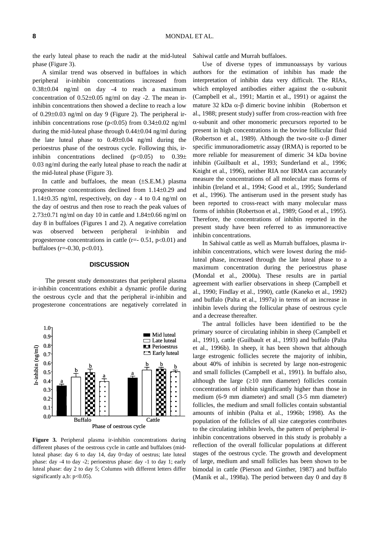the early luteal phase to reach the nadir at the mid-luteal phase (Figure 3).

A similar trend was observed in buffaloes in which peripheral ir-inhibin concentrations increased from 0.38±0.04 ng/ml on day -4 to reach a maximum concentration of 0.52±0.05 ng/ml on day -2. The mean irinhibin concentrations then showed a decline to reach a low of 0.29±0.03 ng/ml on day 9 (Figure 2). The peripheral irinhibin concentrations rose ( $p<0.05$ ) from 0.34 $\pm$ 0.02 ng/ml during the mid-luteal phase through 0.44±0.04 ng/ml during the late luteal phase to 0.49±0.04 ng/ml during the perioestrus phase of the oestrous cycle. Following this, irinhibin concentrations declined  $(p<0.05)$  to  $0.39\pm$ 0.03 ng/ml during the early luteal phase to reach the nadir at the mid-luteal phase (Figure 3).

In cattle and buffaloes, the mean  $(\pm S.E.M.)$  plasma progesterone concentrations declined from 1.14±0.29 and 1.14 $\pm$ 0.35 ng/ml, respectively, on day - 4 to 0.4 ng/ml on the day of oestrus and then rose to reach the peak values of  $2.73\pm0.71$  ng/ml on day 10 in cattle and  $1.84\pm0.66$  ng/ml on day 8 in buffaloes (Figures 1 and 2). A negative correlation was observed between peripheral ir-inhibin and progesterone concentrations in cattle  $(r=- 0.51, p<0.01)$  and buffaloes ( $r = -0.30$ ,  $p < 0.01$ ).

## **DISCUSSION**

 The present study demonstrates that peripheral plasma ir-inhibin concentrations exhibit a dynamic profile during the oestrous cycle and that the peripheral ir-inhibin and progesterone concentrations are negatively correlated in



**Figure 3.** Peripheral plasma ir-inhibin concentrations during different phases of the oestrous cycle in cattle and buffaloes (midluteal phase: day 6 to day 14, day 0=day of oestrus; late luteal phase: day -4 to day -2; perioestrus phase: day -1 to day 1; early luteal phase: day 2 to day 5; Columns with different letters differ significantly a,b:  $p<0.05$ ).

Sahiwal cattle and Murrah buffaloes.

Use of diverse types of immunoassays by various authors for the estimation of inhibin has made the interpretation of inhibin data very difficult. The RIAs, which employed antibodies either against the  $\alpha$ -subunit (Campbell et al., 1991; Martin et al., 1991) or against the mature 32 kDa  $\alpha$ -β dimeric bovine inhibin (Robertson et al., 1988; present study) suffer from cross-reaction with free α-subunit and other monomeric precursors reported to be present in high concentrations in the bovine follicular fluid (Robertson et al., 1989). Although the two-site  $\alpha$ - $\beta$  dimer specific immunoradiometric assay (IRMA) is reported to be more reliable for measurement of dimeric 34 kDa bovine inhibin (Guilbault et al., 1993; Sunderland et al., 1996; Knight et al., 1996), neither RIA nor IRMA can accurately measure the concentrations of all molecular mass forms of inhibin (Ireland et al., 1994; Good et al., 1995; Sunderland et al., 1996). The antiserum used in the present study has been reported to cross-react with many molecular mass forms of inhibin (Robertson et al., 1989; Good et al., 1995). Therefore, the concentrations of inhibin reported in the present study have been referred to as immunoreactive inhibin concentrations.

In Sahiwal cattle as well as Murrah buffaloes, plasma irinhibin concentrations, which were lowest during the midluteal phase, increased through the late luteal phase to a maximum concentration during the perioestrus phase (Mondal et al., 2000a). These results are in partial agreement with earlier observations in sheep (Campbell et al., 1990; Findlay et al., 1990), cattle (Kaneko et al., 1992) and buffalo (Palta et al., 1997a) in terms of an increase in inhibin levels during the follicular phase of oestrous cycle and a decrease thereafter.

The antral follicles have been identified to be the primary source of circulating inhibin in sheep (Campbell et al., 1991), cattle (Guilbault et al., 1993) and buffalo (Palta et al., 1996b). In sheep, it has been shown that although large estrogenic follicles secrete the majority of inhibin, about 40% of inhibin is secreted by large non-estrogenic and small follicles (Campbell et al., 1991). In buffalo also, although the large  $(≥10$  mm diameter) follicles contain concentrations of inhibin significantly higher than those in medium (6-9 mm diameter) and small (3-5 mm diameter) follicles, the medium and small follicles contain substantial amounts of inhibin (Palta et al., 1996b; 1998). As the population of the follicles of all size categories contributes to the circulating inhibin levels, the pattern of peripheral irinhibin concentrations observed in this study is probably a reflection of the overall follicular populations at different stages of the oestrous cycle. The growth and development of large, medium and small follicles has been shown to be bimodal in cattle (Pierson and Ginther, 1987) and buffalo (Manik et al., 1998a). The period between day 0 and day 8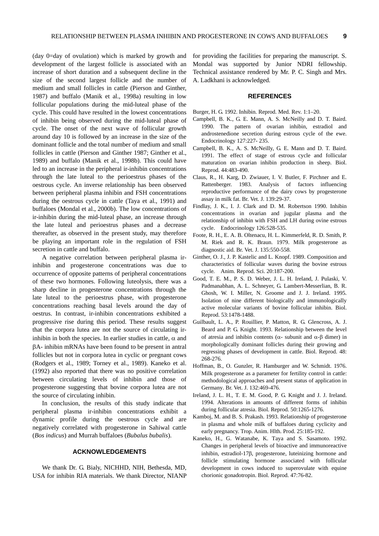(day 0=day of ovulation) which is marked by growth and development of the largest follicle is associated with an increase of short duration and a subsequent decline in the size of the second largest follicle and the number of medium and small follicles in cattle (Pierson and Ginther, 1987) and buffalo (Manik et al., 1998a) resulting in low follicular populations during the mid-luteal phase of the cycle. This could have resulted in the lowest concentrations of inhibin being observed during the mid-luteal phase of cycle. The onset of the next wave of follicular growth around day 10 is followed by an increase in the size of the dominant follicle and the total number of medium and small follicles in cattle (Pierson and Ginther 1987; Ginther et al., 1989) and buffalo (Manik et al., 1998b). This could have led to an increase in the peripheral ir-inhibin concentrations through the late luteal to the perioestrus phases of the oestrous cycle. An inverse relationship has been observed between peripheral plasma inhibin and FSH concentrations during the oestrous cycle in cattle (Taya et al., 1991) and buffaloes (Mondal et al., 2000b). The low concentrations of ir-inhibin during the mid-luteal phase, an increase through the late luteal and perioestrus phases and a decrease thereafter, as observed in the present study, may therefore be playing an important role in the regulation of FSH secretion in cattle and buffalo.

A negative correlation between peripheral plasma irinhibin and progesterone concentrations was due to occurrence of opposite patterns of peripheral concentrations of these two hormones. Following luteolysis, there was a sharp decline in progesterone concentrations through the late luteal to the perioestrus phase, with progesterone concentrations reaching basal levels around the day of oestrus. In contrast, ir-inhibin concentrations exhibited a progressive rise during this period. These results suggest that the corpora lutea are not the source of circulating irinhibin in both the species. In earlier studies in cattle,  $\alpha$  and βA- inhibin mRNAs have been found to be present in antral follicles but not in corpora lutea in cyclic or pregnant cows (Rodgers et al., 1989; Torney et al., 1989). Kaneko et al. (1992) also reported that there was no positive correlation between circulating levels of inhibin and those of progesterone suggesting that bovine corpora lutea are not the source of circulating inhibin.

In conclusion, the results of this study indicate that peripheral plasma ir-inhibin concentrations exhibit a dynamic profile during the oestrous cycle and are negatively correlated with progesterone in Sahiwal cattle (*Bos indicus*) and Murrah buffaloes (*Bubalus bubalis*).

# **ACKNOWLEDGEMENTS**

We thank Dr. G. Bialy, NICHHD, NIH, Bethesda, MD, USA for inhibin RIA materials. We thank Director, NIANP for providing the facilities for preparing the manuscript. S. Mondal was supported by Junior NDRI fellowship. Technical assistance rendered by Mr. P. C. Singh and Mrs. A. Ladkhani is acknowledged.

# **REFERENCES**

Burger, H. G. 1992. Inhibin. Reprod. Med. Rev. 1:1–20.

- Campbell, B. K., G. E. Mann, A. S. McNeilly and D. T. Baird. 1990. The pattern of ovarian inhibin, estradiol and androstenedione secretion during estrous cycle of the ewe. Endocrinology 127:227- 235.
- Campbell, B. K., A. S. McNeilly, G. E. Mann and D. T. Baird. 1991. The effect of stage of estrous cycle and follicular maturation on ovarian inhibin production in sheep. Biol. Reprod. 44:483-490.
- Claus, R., H. Karg, D. Zwiauer, I. V. Butler, F. Pirchner and E. Rattenberger. 1983. Analysis of factors influencing reproductive performance of the dairy cows by progesterone assay in milk fat. Br. Vet. J. 139:29-37.
- Findlay, J. K., I. J. Clark and D. M. Robertson 1990. Inhibin concentrations in ovarian and jugular plasma and the relationship of inhibin with FSH and LH during ovine estrous cycle. Endocrinology 126:528-535.
- Foote, R. H., E. A. B. Oltenacu, H. L. Kimmerfeld, R. D. Smith, P. M. Riek and R. K. Braun. 1979. Milk progesterone as diagnostic aid. Br. Vet. J. 135:550-558.
- Ginther, O. J., J. P. Kastelic and L. Knopf. 1989. Composition and characteristics of follicular waves during the bovine estrous cycle*.* Anim. Reprod. Sci. 20:187-200.
- Good, T. E. M., P. S. D. Weber, J. L. H. Ireland, J. Pulaski, V. Padmanabhan, A. L. Schneyer, G. Lambert-Messerlian, B. R. Ghosh, W. I. Miller, N. Groome and J. J. Ireland. 1995. Isolation of nine different biologically and immunologically active molecular variants of bovine follicular inhibin. Biol. Reprod. 53:1478-1488.
- Guilbault, L. A., P. Rouillier, P. Matton, R. G. Glencross, A. J. Beard and P. G. Knight. 1993. Relationship between the level of atresia and inhibin contents (α- subunit and α-β dimer) in morphologically dominant follicles during their growing and regressing phases of development in cattle. Biol. Reprod. 48: 268-276.
- Hoffman, B., O. Gunzler, R. Hamburger and W. Schmidt. 1976. Milk progesterone as a parameter for fertility control in cattle: methodological approaches and present status of application in Germany*.* Br. Vet. J. 132:469-476.
- Ireland, J. L. H., T. E. M. Good, P. G. Knight and J. J. Ireland. 1994. Alterations in amounts of different forms of inhibin during follicular atresia. Biol. Reprod. 50:1265-1276.
- Kamboj, M. and B. S. Prakash. 1993. Relationship of progesterone in plasma and whole milk of buffaloes during cyclicity and early pregnancy. Trop. Anim. Hlth. Prod. 25:185-192.
- Kaneko, H., G. Watanabe, K. Taya and S. Sasamoto. 1992. Changes in peripheral levels of bioactive and immunoreactive inhibin, estradiol-17β, progesterone, luteinizing hormone and follicle stimulating hormone associated with follicular development in cows induced to superovulate with equine chorionic gonadotropin. Biol. Reprod. 47:76-82.